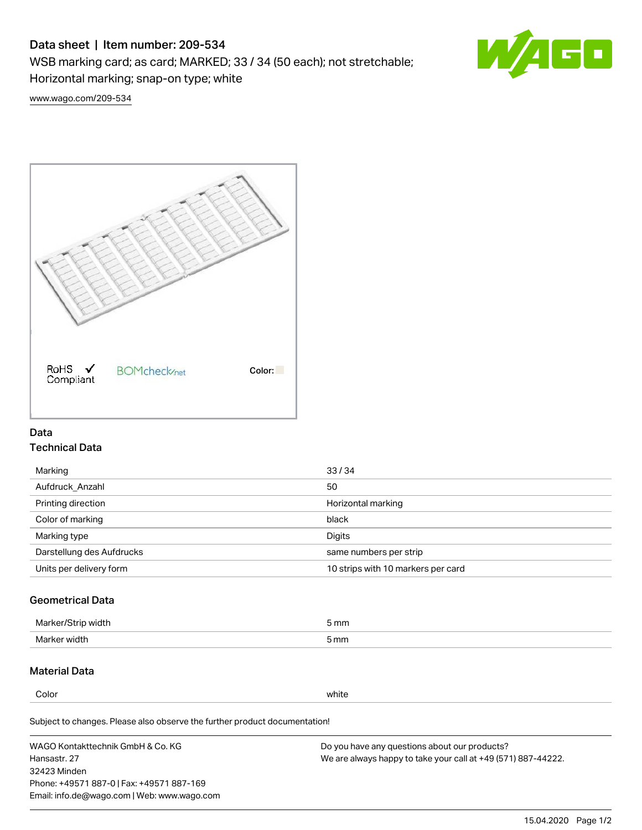# Data sheet | Item number: 209-534

WSB marking card; as card; MARKED; 33 / 34 (50 each); not stretchable;

Horizontal marking; snap-on type; white



[www.wago.com/209-534](http://www.wago.com/209-534)



### Data Technical Data

| Marking                   | 33/34                              |
|---------------------------|------------------------------------|
| Aufdruck Anzahl           | 50                                 |
| Printing direction        | Horizontal marking                 |
| Color of marking          | black                              |
| Marking type              | Digits                             |
| Darstellung des Aufdrucks | same numbers per strip             |
| Units per delivery form   | 10 strips with 10 markers per card |

# Geometrical Data

| <b>Marker</b><br>width | 5 mm |
|------------------------|------|
| Marker width           | 5 mm |

### Material Data

Color white

Subject to changes. Please also observe the further product documentation!

WAGO Kontakttechnik GmbH & Co. KG Hansastr. 27 32423 Minden Phone: +49571 887-0 | Fax: +49571 887-169 Email: info.de@wago.com | Web: www.wago.com Do you have any questions about our products? We are always happy to take your call at +49 (571) 887-44222.